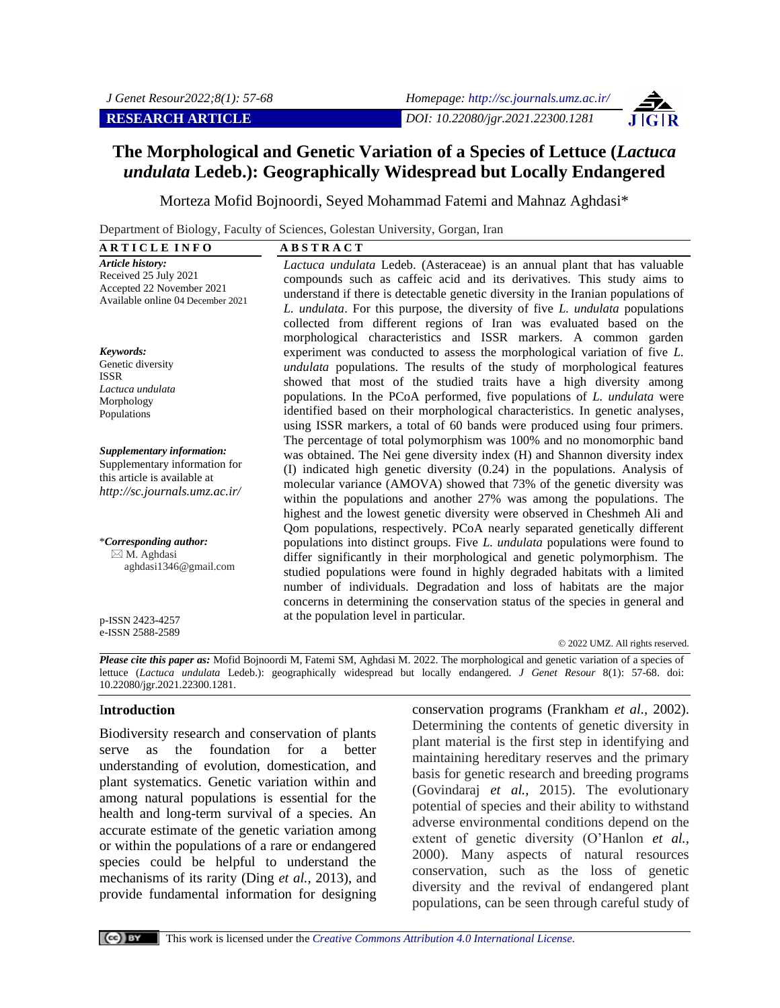# **The Morphological and Genetic Variation of a Species of Lettuce (***Lactuca undulata* **Ledeb.): Geographically Widespread but Locally Endangered**

Morteza Mofid Bojnoordi, Seyed Mohammad Fatemi and Mahnaz Aghdasi\*

Department of Biology, Faculty of Sciences, Golestan University, Gorgan, Iran

| <b>ARTICLE INFO</b>                                                                                                          | <b>ABSTRACT</b>                                                                                                                                                                                                                                                                                                                                                                                                                                                                                                                                    |
|------------------------------------------------------------------------------------------------------------------------------|----------------------------------------------------------------------------------------------------------------------------------------------------------------------------------------------------------------------------------------------------------------------------------------------------------------------------------------------------------------------------------------------------------------------------------------------------------------------------------------------------------------------------------------------------|
| Article history:<br>Received 25 July 2021<br>Accepted 22 November 2021<br>Available online 04 December 2021                  | Lactuca undulata Ledeb. (Asteraceae) is an annual plant that has valuable<br>compounds such as caffeic acid and its derivatives. This study aims to<br>understand if there is detectable genetic diversity in the Iranian populations of<br>L. undulata. For this purpose, the diversity of five L. undulata populations<br>collected from different regions of Iran was evaluated based on the                                                                                                                                                    |
| Keywords:<br>Genetic diversity<br><b>ISSR</b><br>Lactuca undulata<br>Morphology<br>Populations                               | morphological characteristics and ISSR markers. A common garden<br>experiment was conducted to assess the morphological variation of five L.<br>undulata populations. The results of the study of morphological features<br>showed that most of the studied traits have a high diversity among<br>populations. In the PCoA performed, five populations of <i>L. undulata</i> were<br>identified based on their morphological characteristics. In genetic analyses,<br>using ISSR markers, a total of 60 bands were produced using four primers.    |
| Supplementary information:<br>Supplementary information for<br>this article is available at<br>http://sc.journals.umz.ac.ir/ | The percentage of total polymorphism was 100% and no monomorphic band<br>was obtained. The Nei gene diversity index (H) and Shannon diversity index<br>(I) indicated high genetic diversity (0.24) in the populations. Analysis of<br>molecular variance (AMOVA) showed that 73% of the genetic diversity was<br>within the populations and another 27% was among the populations. The<br>highest and the lowest genetic diversity were observed in Cheshmeh Ali and<br>Qom populations, respectively. PCoA nearly separated genetically different |
| *Corresponding author:<br>$\boxtimes$ M. Aghdasi<br>aghdasi1346@gmail.com                                                    | populations into distinct groups. Five L. undulata populations were found to<br>differ significantly in their morphological and genetic polymorphism. The<br>studied populations were found in highly degraded habitats with a limited<br>number of individuals. Degradation and loss of habitats are the major<br>concerns in determining the conservation status of the species in general and                                                                                                                                                   |
| p-ISSN 2423-4257<br>e-ISSN 2588-2589                                                                                         | at the population level in particular.                                                                                                                                                                                                                                                                                                                                                                                                                                                                                                             |

© 2022 UMZ. All rights reserved.

*Please cite this paper as:* Mofid Bojnoordi M, Fatemi SM, Aghdasi M. 2022. The morphological and genetic variation of a species of lettuce (*Lactuca undulata* Ledeb.): geographically widespread but locally endangered. *J Genet Resour* 8(1): 57-68. doi: 10.22080/jgr.2021.22300.1281.

#### I**ntroduction**

Biodiversity research and conservation of plants serve as the foundation for a better understanding of evolution, domestication, and plant systematics. Genetic variation within and among natural populations is essential for the health and long-term survival of a species. An accurate estimate of the genetic variation among or within the populations of a rare or endangered species could be helpful to understand the mechanisms of its rarity (Ding *et al.,* 2013), and provide fundamental information for designing conservation programs (Frankham *et al.,* 2002). Determining the contents of genetic diversity in plant material is the first step in identifying and maintaining hereditary reserves and the primary basis for genetic research and breeding programs (Govindaraj *et al.,* 2015). The evolutionary potential of species and their ability to withstand adverse environmental conditions depend on the extent of genetic diversity (O'Hanlon *et al.,*  2000). Many aspects of natural resources conservation, such as the loss of genetic diversity and the revival of endangered plant populations, can be seen through careful study of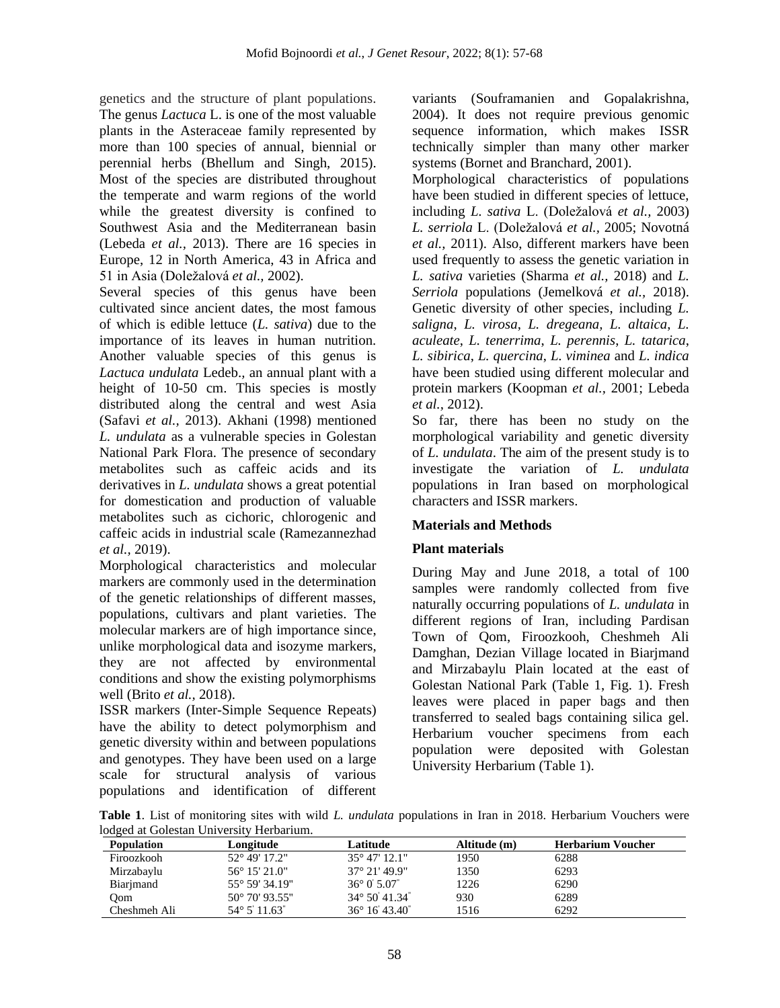genetics and the structure of plant populations. The genus *Lactuca* L. is one of the most valuable plants in the Asteraceae family represented by more than 100 species of annual, biennial or perennial herbs (Bhellum and Singh, 2015). Most of the species are distributed throughout the temperate and warm regions of the world while the greatest diversity is confined to Southwest Asia and the Mediterranean basin (Lebeda *et al.,* 2013). There are 16 species in Europe, 12 in North America, 43 in Africa and 51 in Asia (Doležalová *et al.,* 2002).

Several species of this genus have been cultivated since ancient dates, the most famous of which is edible lettuce (*L. sativa*) due to the importance of its leaves in human nutrition. Another valuable species of this genus is *Lactuca undulata* Ledeb.*,* an annual plant with a height of 10-50 cm. This species is mostly distributed along the central and west Asia (Safavi *et al.,* 2013). Akhani (1998) mentioned *L. undulata* as a vulnerable species in Golestan National Park Flora. The presence of secondary metabolites such as caffeic acids and its derivatives in *L. undulata* shows a great potential for domestication and production of valuable metabolites such as cichoric, chlorogenic and caffeic acids in industrial scale (Ramezannezhad *et al.,* 2019).

Morphological characteristics and molecular markers are commonly used in the determination of the genetic relationships of different masses, populations, cultivars and plant varieties. The molecular markers are of high importance since, unlike morphological data and isozyme markers, they are not affected by environmental conditions and show the existing polymorphisms well (Brito *et al.,* 2018).

ISSR markers (Inter-Simple Sequence Repeats) have the ability to detect polymorphism and genetic diversity within and between populations and genotypes. They have been used on a large scale for structural analysis of various populations and identification of different

variants (Souframanien and Gopalakrishna, 2004). It does not require previous genomic sequence information, which makes ISSR technically simpler than many other marker systems (Bornet and Branchard, 2001).

Morphological characteristics of populations have been studied in different species of lettuce, including *L. sativa* L. (Doležalová *et al.,* 2003) *L. serriola* L. (Doležalová *et al.,* 2005; Novotná *et al.,* 2011). Also, different markers have been used frequently to assess the genetic variation in *L. sativa* varieties (Sharma *et al.,* 2018) and *L. Serriola* populations (Jemelková *et al.,* 2018). Genetic diversity of other species, including *L. saligna*, *L. virosa*, *L. dregeana, L. altaica*, *L. aculeate*, *L. tenerrima*, *L. perennis*, *L. tatarica*, *L. sibirica*, *L. quercina*, *L. viminea* and *L. indica* have been studied using different molecular and protein markers (Koopman *et al.,* 2001; Lebeda *et al.,* 2012).

So far, there has been no study on the morphological variability and genetic diversity of *L. undulata*. The aim of the present study is to investigate the variation of *L. undulata* populations in Iran based on morphological characters and ISSR markers.

## **Materials and Methods**

## **Plant materials**

During May and June 2018, a total of 100 samples were randomly collected from five naturally occurring populations of *L. undulata* in different regions of Iran, including Pardisan Town of Qom, Firoozkooh, Cheshmeh Ali Damghan, Dezian Village located in Biarjmand and Mirzabaylu Plain located at the east of Golestan National Park (Table 1, Fig. 1). Fresh leaves were placed in paper bags and then transferred to sealed bags containing silica gel. Herbarium voucher specimens from each population were deposited with Golestan University Herbarium (Table 1).

**Table 1**. List of monitoring sites with wild *L. undulata* populations in Iran in 2018. Herbarium Vouchers were lodged at Golestan University Herbarium.

| rouged at conostan only risity ricibalitani. |                         |                               |              |                          |  |  |
|----------------------------------------------|-------------------------|-------------------------------|--------------|--------------------------|--|--|
| <b>Population</b>                            | Longitude               | Latitude                      | Altitude (m) | <b>Herbarium Voucher</b> |  |  |
| Firoozkooh                                   | 52° 49' 17.2"           | $35^{\circ}$ 47' 12.1"        | 1950         | 6288                     |  |  |
| Mirzabaylu                                   | $56^{\circ}$ 15' 21.0"  | $37^{\circ}$ 21' 49.9"        | 1350         | 6293                     |  |  |
| Biarjmand                                    | $55^{\circ}$ 59' 34.19" | $36^{\circ}$ 0 $5.07^{\circ}$ | 1226         | 6290                     |  |  |
| Oom                                          | $50^{\circ}$ 70' 93.55" | $34^{\circ}$ 50 41.34         | 930          | 6289                     |  |  |
| Cheshmeh Ali                                 | $54^{\circ} 5' 11.63''$ | 36° 16' 43.40"                | 1516         | 6292                     |  |  |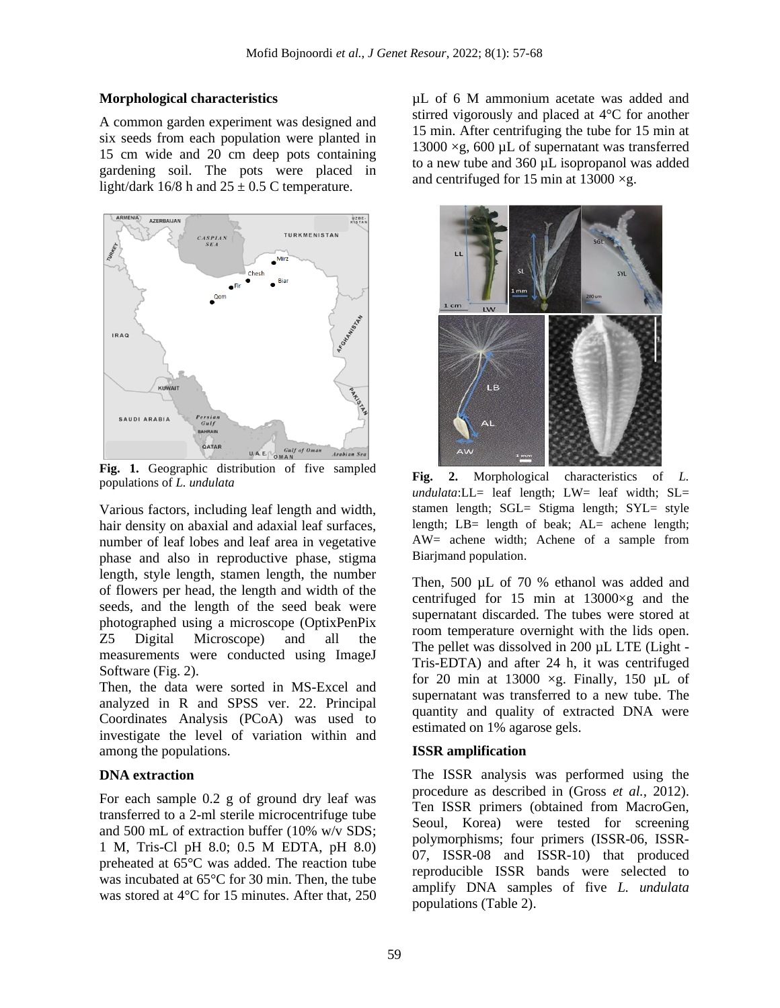## **Morphological characteristics**

A common garden experiment was designed and six seeds from each population were planted in 15 cm wide and 20 cm deep pots containing gardening soil. The pots were placed in light/dark  $16/8$  h and  $25 \pm 0.5$  C temperature.



**Fig. 1.** Geographic distribution of five sampled populations of *L. undulata*

Various factors, including leaf length and width, hair density on abaxial and adaxial leaf surfaces, number of leaf lobes and leaf area in vegetative phase and also in reproductive phase, stigma length, style length, stamen length, the number of flowers per head, the length and width of the seeds, and the length of the seed beak were photographed using a microscope (OptixPenPix Z5 Digital Microscope) and all the measurements were conducted using ImageJ Software (Fig. 2).

Then, the data were sorted in MS-Excel and analyzed in R and SPSS ver. 22. Principal Coordinates Analysis (PCoA) was used to investigate the level of variation within and among the populations.

## **DNA extraction**

For each sample 0.2 g of ground dry leaf was transferred to a 2-ml sterile microcentrifuge tube and 500 mL of extraction buffer (10% w/v SDS; 1 M, Tris-Cl pH 8.0; 0.5 M EDTA, pH 8.0) preheated at 65°C was added. The reaction tube was incubated at 65°C for 30 min. Then, the tube was stored at [4°](https://dictionary.abadis.ir/entofa/r/refrigerator/)C for 15 minutes. After that, 250 µL of 6 M ammonium acetate was added and stirred vigorously and placed at [4°](https://dictionary.abadis.ir/entofa/r/refrigerator/)C for another 15 min. After centrifuging the tube for 15 min at 13000  $\times$ g, 600 µL of supernatant was transferred to a new tube and 360 µL isopropanol was added and centrifuged for 15 min at  $13000 \times g$ .



**Fig. 2.** Morphological characteristics of *L. undulata*:LL= leaf length; LW= leaf width; SL= stamen length; SGL= Stigma length; SYL= style length; LB= length of beak; AL= achene length; AW= achene width; Achene of a sample from Biarjmand population.

Then, 500 µL of 70 % ethanol was added and centrifuged for 15 min at  $13000 \times g$  and the supernatant discarded. The tubes were stored at room temperature overnight with the lids open. The pellet was dissolved in 200 µL LTE (Light -Tris-EDTA) and after 24 h, it was centrifuged for 20 min at 13000  $\times$ g. Finally, 150 µL of supernatant was transferred to a new tube. The quantity and quality of extracted DNA were estimated on 1% agarose gels.

## **ISSR amplification**

The ISSR analysis was performed using the procedure as described in (Gross *et al.,* 2012). Ten ISSR primers (obtained from MacroGen, Seoul, Korea) were tested for screening polymorphisms; four primers (ISSR-06, ISSR-07, ISSR-08 and ISSR-10) that produced reproducible ISSR bands were selected to amplify DNA samples of five *L. undulata* populations (Table 2).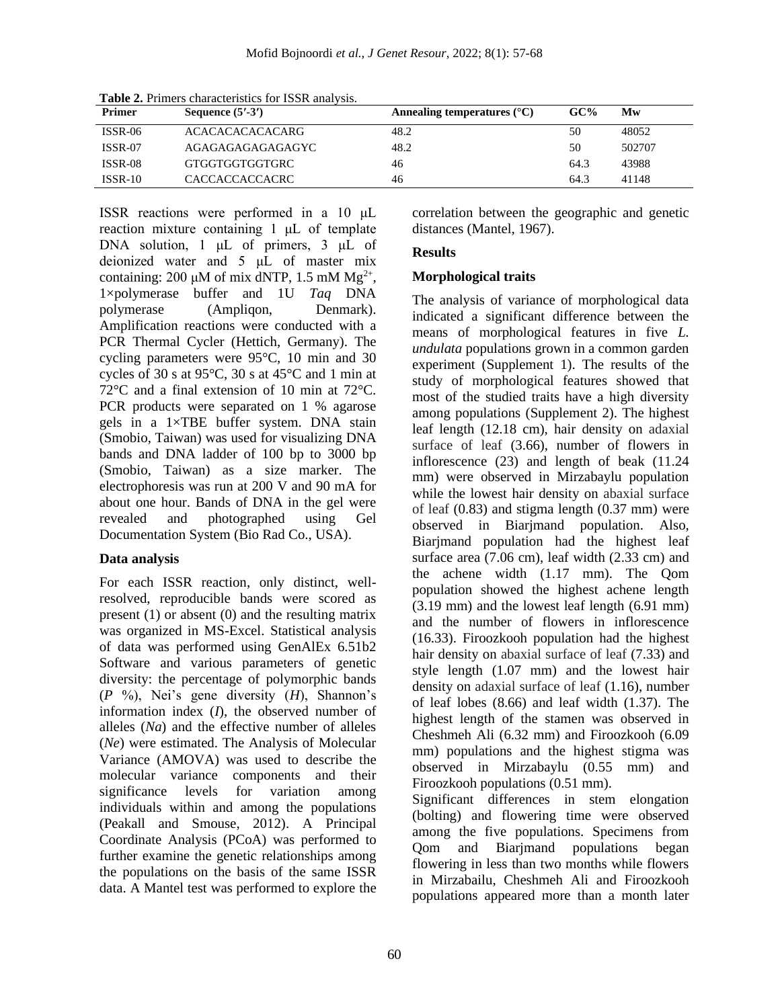| <b>Primer</b>  | Sequence $(5' - 3')$ | Annealing temperatures $(^{\circ}C)$ | GC%  | Mw     |
|----------------|----------------------|--------------------------------------|------|--------|
| $ISSR-06$      | ACACACACACACARG      | 48.2                                 | 50   | 48052  |
| <b>ISSR-07</b> | AGAGAGAGAGAGAGYC     | 48.2                                 | 50   | 502707 |
| ISSR-08        | GTGGTGGTGGTGRC       | 46                                   | 64.3 | 43988  |
| $ISSR-10$      | CACCACCACCACRC       | 46                                   | 64.3 | 41148  |

**Table 2.** Primers characteristics for ISSR analysis.

ISSR reactions were performed in a 10 μL reaction mixture containing 1 μL of template DNA solution, 1 μL of primers, 3 μL of deionized water and 5 μL of master mix containing: 200  $\mu$ M of mix dNTP, 1.5 mM Mg<sup>2+</sup>, 1×polymerase buffer and 1U *Taq* DNA polymerase (Ampliqon, Denmark). Amplification reactions were conducted with a PCR Thermal Cycler (Hettich, Germany). The cycling parameters were 95°C, 10 min and 30 cycles of 30 s at 95°C, 30 s at 45°C and 1 min at 72°C and a final extension of 10 min at 72°C. PCR products were separated on 1 % agarose gels in a 1×TBE buffer system. DNA stain (Smobio, Taiwan) was used for visualizing DNA bands and DNA ladder of 100 bp to 3000 bp (Smobio, Taiwan) as a size marker. The electrophoresis was run at 200 V and 90 mA for about one hour. Bands of DNA in the gel were revealed and photographed using Gel Documentation System (Bio Rad Co., USA).

### **Data analysis**

For each ISSR reaction, only distinct, wellresolved, reproducible bands were scored as present (1) or absent (0) and the resulting matrix was organized in MS-Excel. Statistical analysis of data was performed using GenAlEx 6.51b2 Software and various parameters of genetic diversity: the percentage of polymorphic bands (*P* %), Nei's gene diversity (*H*), Shannon's information index (*I*), the observed number of alleles (*Na*) and the effective number of alleles (*Ne*) were estimated. The Analysis of Molecular Variance (AMOVA) was used to describe the molecular variance components and their significance levels for variation among individuals within and among the populations (Peakall and Smouse, 2012). A Principal Coordinate Analysis (PCoA) was performed to further examine the genetic relationships among the populations on the basis of the same ISSR data. A Mantel test was performed to explore the correlation between the geographic and genetic distances (Mantel, 1967).

## **Results**

## **Morphological traits**

The analysis of variance of morphological data indicated a significant difference between the means of morphological features in five *L. undulata* populations grown in a common garden experiment (Supplement 1). The results of the study of morphological features showed that most of the studied traits have a high diversity among populations (Supplement 2). The highest leaf length (12.18 cm), hair density on adaxial surface of leaf (3.66), number of flowers in inflorescence (23) and length of beak (11.24 mm) were observed in Mirzabaylu population while the lowest hair density on abaxial surface of leaf (0.83) and stigma length (0.37 mm) were observed in Biarjmand population. Also, Biarjmand population had the highest leaf surface area (7.06 cm), leaf width (2.33 cm) and the achene width (1.17 mm). The Qom population showed the highest achene length (3.19 mm) and the lowest leaf length (6.91 mm) and the number of flowers in inflorescence (16.33). Firoozkooh population had the highest hair density on abaxial surface of leaf (7.33) and style length (1.07 mm) and the lowest hair density on adaxial surface of leaf (1.16), number of leaf lobes (8.66) and leaf width (1.37). The highest length of the stamen was observed in Cheshmeh Ali (6.32 mm) and Firoozkooh (6.09 mm) populations and the highest stigma was observed in Mirzabaylu (0.55 mm) and Firoozkooh populations (0.51 mm).

Significant differences in stem elongation (bolting) and flowering time were observed among the five populations. Specimens from Qom and Biarjmand populations began flowering in less than two months while flowers in Mirzabailu, Cheshmeh Ali and Firoozkooh populations appeared more than a month later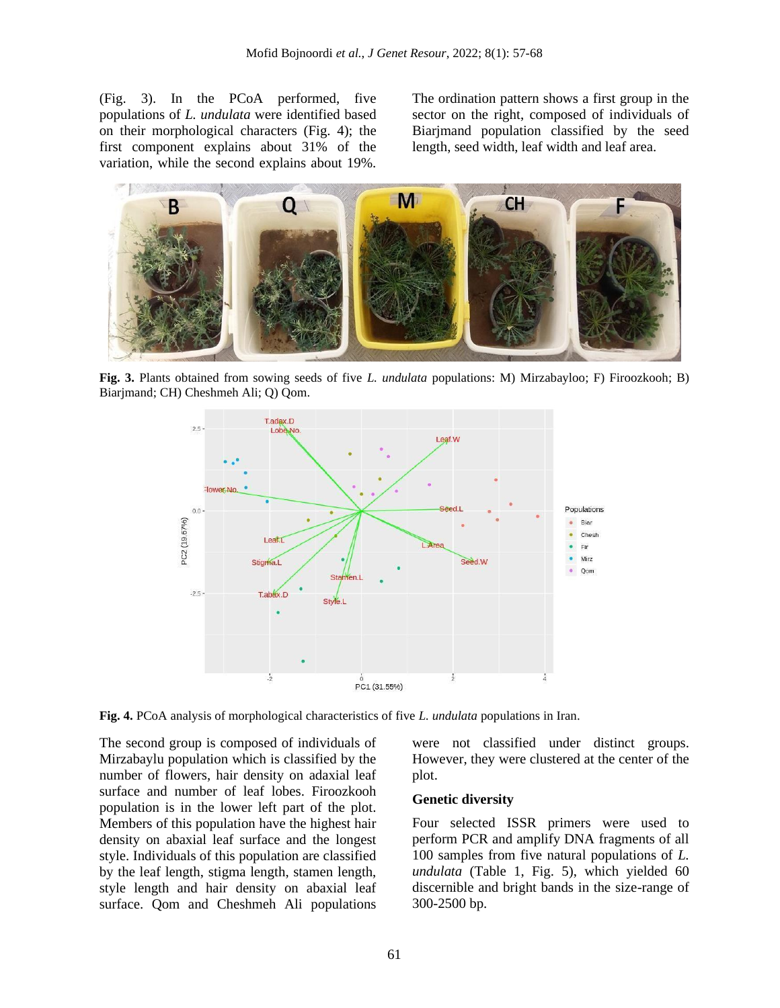(Fig. 3). In the PCoA performed, five populations of *L. undulata* were identified based on their morphological characters (Fig. 4); the first component explains about 31% of the variation, while the second explains about 19%.

The ordination pattern shows a first group in the sector on the right, composed of individuals of Biarjmand population classified by the seed length, seed width, leaf width and leaf area.



**Fig. 3.** Plants obtained from sowing seeds of five *L. undulata* populations: M) Mirzabayloo; F) Firoozkooh; B) Biarjmand; CH) Cheshmeh Ali; Q) Qom.



**Fig. 4.** PCoA analysis of morphological characteristics of five *L. undulata* populations in Iran.

The second group is composed of individuals of Mirzabaylu population which is classified by the number of flowers, hair density on adaxial leaf surface and number of leaf lobes. Firoozkooh population is in the lower left part of the plot. Members of this population have the highest hair density on abaxial leaf surface and the longest style. Individuals of this population are classified by the leaf length, stigma length, stamen length, style length and hair density on abaxial leaf surface. Qom and Cheshmeh Ali populations

were not classified under distinct groups. However, they were clustered at the center of the plot.

#### **Genetic diversity**

Four selected ISSR primers were used to perform PCR and amplify DNA fragments of all 100 samples from five natural populations of *L. undulata* (Table 1, Fig. 5), which yielded 60 discernible and bright bands in the size-range of 300-2500 bp.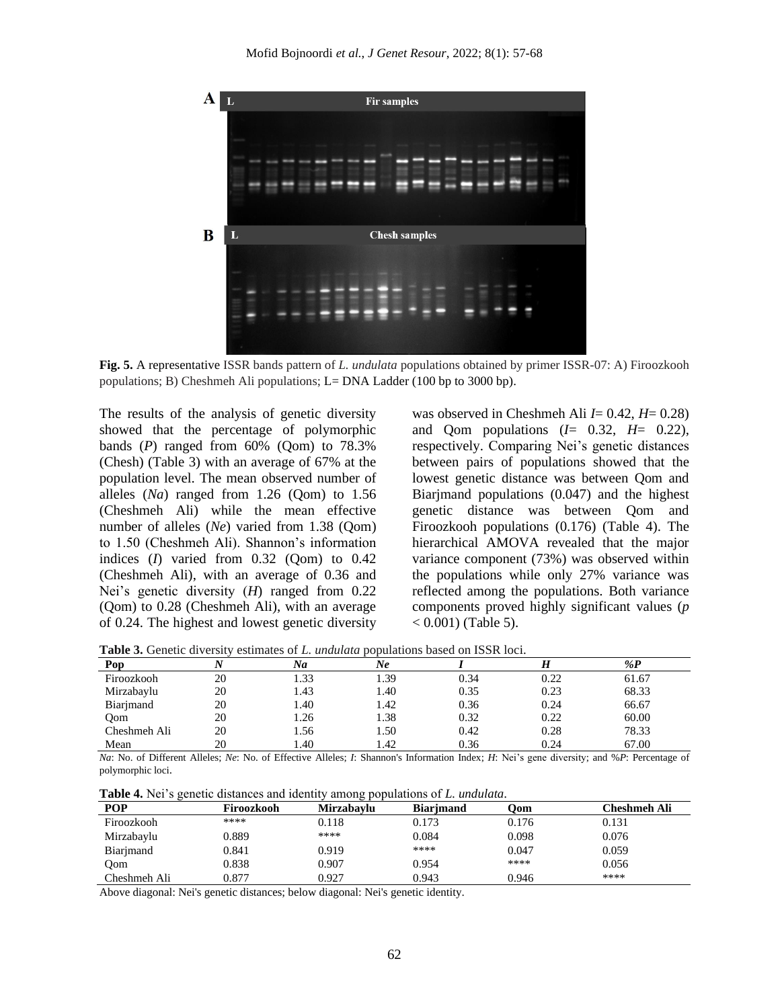

**Fig. 5.** A representative ISSR bands pattern of *L. undulata* populations obtained by primer ISSR-07: A) Firoozkooh populations; B) Cheshmeh Ali populations; L= DNA Ladder (100 bp to 3000 bp).

The results of the analysis of genetic diversity showed that the percentage of polymorphic bands  $(P)$  ranged from  $60\%$  (Qom) to  $78.3\%$ (Chesh) (Table 3) with an average of 67% at the population level. The mean observed number of alleles (*Na*) ranged from 1.26 (Qom) to 1.56 (Cheshmeh Ali) while the mean effective number of alleles (*Ne*) varied from 1.38 (Qom) to 1.50 (Cheshmeh Ali). Shannon's information indices (*I*) varied from 0.32 (Qom) to 0.42 (Cheshmeh Ali), with an average of 0.36 and Nei's genetic diversity (*H*) ranged from 0.22 (Qom) to 0.28 (Cheshmeh Ali), with an average of 0.24. The highest and lowest genetic diversity

was observed in Cheshmeh Ali *I*= 0.42, *H*= 0.28) and Qom populations (*I*= 0.32, *H*= 0.22), respectively. Comparing Nei's genetic distances between pairs of populations showed that the lowest genetic distance was between Qom and Biarjmand populations (0.047) and the highest genetic distance was between Qom and Firoozkooh populations (0.176) (Table 4). The hierarchical AMOVA revealed that the major variance component (73%) was observed within the populations while only 27% variance was reflected among the populations. Both variance components proved highly significant values (*p*  < 0*.*001) (Table 5).

**Table 3.** Genetic diversity estimates of *L. undulata* populations based on ISSR loci.

| Pop          |    | Na   | Ne   |      |      | % $\mathbf{P}$ |
|--------------|----|------|------|------|------|----------------|
| Firoozkooh   | 20 | 1.33 | 1.39 | 0.34 | 0.22 | 61.67          |
| Mirzabaylu   | 20 | 1.43 | 1.40 | 0.35 | 0.23 | 68.33          |
| Biarjmand    | 20 | l.40 | 1.42 | 0.36 | 0.24 | 66.67          |
| Oom          | 20 | 1.26 | 1.38 | 0.32 | 0.22 | 60.00          |
| Cheshmeh Ali | 20 | 1.56 | 1.50 | 0.42 | 0.28 | 78.33          |
| Mean         | 20 | .40  | 1.42 | 0.36 | 0.24 | 67.00          |

*Na*: No. of Different Alleles; *Ne*: No. of Effective Alleles; *I*: Shannon's Information Index; *H*: Nei's gene diversity; and %*P*: Percentage of polymorphic loci.

**Table 4.** Nei's genetic distances and identity among populations of *L. undulata*.

| <b>POP</b>   | Firoozkooh | <b>Mirzabavlu</b> | <b>Biarimand</b> | Oom   | Cheshmeh Ali |
|--------------|------------|-------------------|------------------|-------|--------------|
| Firoozkooh   | ****       | 0.118             | 0.173            | 0.176 | 0.131        |
| Mirzabaylu   | 0.889      | ****              | 0.084            | 0.098 | 0.076        |
| Biarimand    | 0.841      | 0.919             | ****             | 0.047 | 0.059        |
| Oom          | 0.838      | 0.907             | 0.954            | ****  | 0.056        |
| Cheshmeh Ali | 0.877      | 0.927             | 0.943            | 0.946 | ****         |

Above diagonal: Nei's genetic distances; below diagonal: Nei's genetic identity.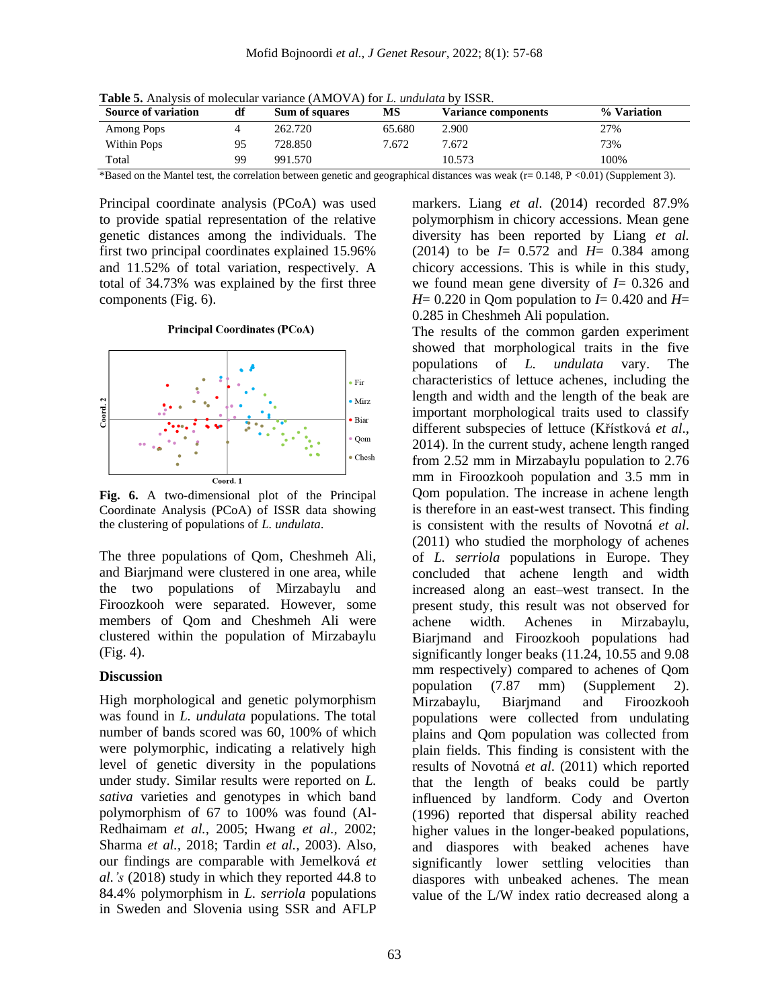| <b>Table 5.</b> Analysis of molecular variance (AMOVA) for L. <i>undulata</i> by ISSR. |
|----------------------------------------------------------------------------------------|
|----------------------------------------------------------------------------------------|

| <b>Source of variation</b> | df | Sum of squares | MS     | <b>Variance components</b> | % Variation |
|----------------------------|----|----------------|--------|----------------------------|-------------|
| Among Pops                 |    | 262.720        | 65.680 | 2.900                      | 27%         |
| Within Pops                |    | 728.850        | 7.672  | 7.672                      | 73%         |
| Total                      | 99 | 991.570        |        | 10.573                     | 100%        |

\*Based on the Mantel test, the correlation between genetic and geographical distances was weak (r= 0.148, P <0.01) (Supplement 3).

Principal coordinate analysis (PCoA) was used to provide spatial representation of the relative genetic distances among the individuals. The first two principal coordinates explained 15.96% and 11.52% of total variation, respectively. A total of 34.73% was explained by the first three components (Fig. 6).

#### **Principal Coordinates (PCoA)**



**Fig. 6.** A two-dimensional plot of the Principal Coordinate Analysis (PCoA) of ISSR data showing the clustering of populations of *L. undulata*.

The three populations of Qom, Cheshmeh Ali, and Biarjmand were clustered in one area, while the two populations of Mirzabaylu and Firoozkooh were separated. However, some members of Qom and Cheshmeh Ali were clustered within the population of Mirzabaylu (Fig. 4).

#### **Discussion**

High morphological and genetic polymorphism was found in *L. undulata* populations. The total number of bands scored was 60, 100% of which were polymorphic, indicating a relatively high level of genetic diversity in the populations under study. Similar results were reported on *L. sativa* varieties and genotypes in which band polymorphism of 67 to 100% was found (Al-Redhaimam *et al.,* 2005; Hwang *et al.,* 2002; Sharma *et al.,* 2018; Tardin *et al.,* 2003). Also, our findings are comparable with Jemelková *et al.'s* (2018) study in which they reported 44.8 to 84.4% polymorphism in *L. serriola* populations in Sweden and Slovenia using SSR and AFLP

markers. Liang *et al*. (2014) recorded 87.9% polymorphism in chicory accessions. Mean gene diversity has been reported by Liang *et al.* (2014) to be *I*= 0.572 and *H*= 0.384 among chicory accessions. This is while in this study, we found mean gene diversity of *I*= 0.326 and *H*= 0.220 in Qom population to *I*= 0.420 and *H*= 0.285 in Cheshmeh Ali population.

The results of the common garden experiment showed that morphological traits in the five populations of *L. undulata* vary. The characteristics of lettuce achenes, including the length and width and the length of the beak are important morphological traits used to classify different subspecies of lettuce (Křístková *et al*., 2014). In the current study, achene length ranged from 2.52 mm in Mirzabaylu population to 2.76 mm in Firoozkooh population and 3.5 mm in Qom population. The increase in achene length is therefore in an east-west transect. This finding is consistent with the results of Novotná *et al*. (2011) who studied the morphology of achenes of *L. serriola* populations in Europe. They concluded that achene length and width increased along an east–west transect. In the present study, this result was not observed for achene width. Achenes in Mirzabaylu, Biarjmand and Firoozkooh populations had significantly longer beaks (11.24, 10.55 and 9.08 mm respectively) compared to achenes of Qom population (7.87 mm) (Supplement 2). Mirzabaylu, Biarjmand and Firoozkooh populations were collected from undulating plains and Qom population was collected from plain fields. This finding is consistent with the results of Novotná *et al*. (2011) which reported that the length of beaks could be partly influenced by landform. Cody and Overton (1996) reported that dispersal ability reached higher values in the longer-beaked populations, and diaspores with beaked achenes have significantly lower settling velocities than diaspores with unbeaked achenes. The mean value of the L/W index ratio decreased along a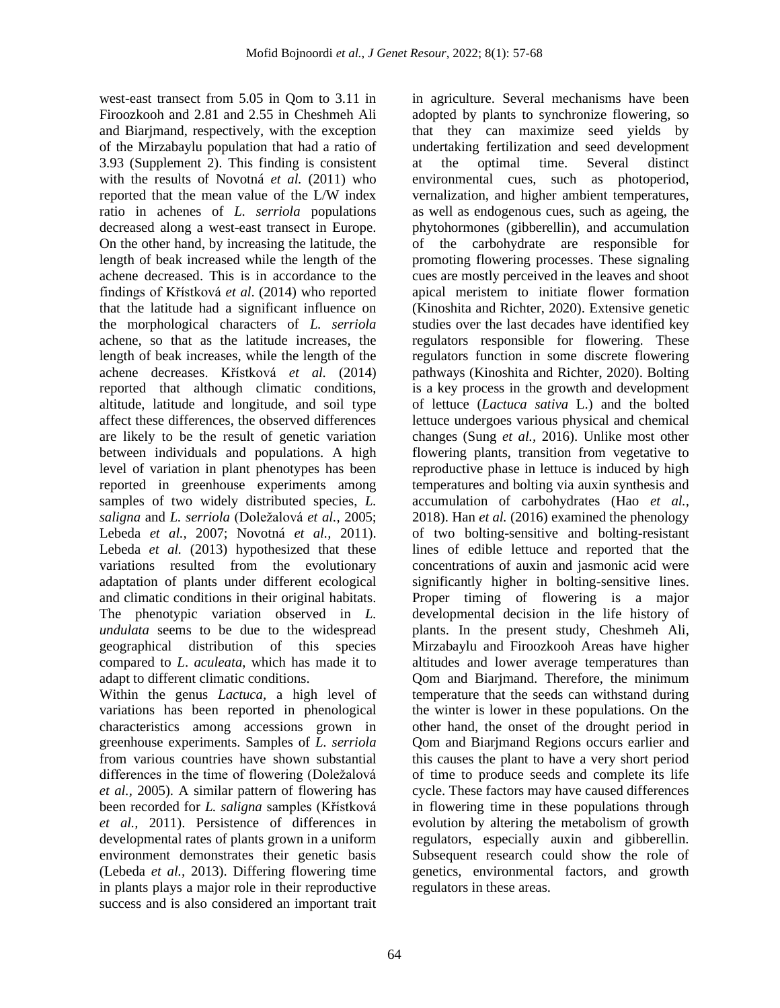west-east transect from 5.05 in Qom to 3.11 in Firoozkooh and 2.81 and 2.55 in Cheshmeh Ali and Biarjmand, respectively, with the exception of the Mirzabaylu population that had a ratio of 3.93 (Supplement 2). This finding is consistent with the results of Novotná *et al.* (2011) who reported that the mean value of the L/W index ratio in achenes of *L. serriola* populations decreased along a west-east transect in Europe. On the other hand, by increasing the latitude, the length of beak increased while the length of the achene decreased. This is in accordance to the findings of Křístková *et al*. (2014) who reported that the latitude had a significant influence on the morphological characters of *L. serriola*  achene, so that as the latitude increases, the length of beak increases, while the length of the achene decreases. Křístková *et al.* (2014) reported that although climatic conditions, altitude, latitude and longitude, and soil type affect these differences, the observed differences are likely to be the result of genetic variation between individuals and populations. A high level of variation in plant phenotypes has been reported in greenhouse experiments among samples of two widely distributed species, *L. saligna* and *L. serriola* (Doležalová *et al.,* 2005; Lebeda *et al.,* 2007; Novotná *et al.,* 2011). Lebeda *et al.* (2013) hypothesized that these variations resulted from the evolutionary adaptation of plants under different ecological and climatic conditions in their original habitats. The phenotypic variation observed in *L. undulata* seems to be due to the widespread geographical distribution of this species compared to *L*. *aculeata*, which has made it to adapt to different climatic conditions.

Within the genus *Lactuca,* a high level of variations has been reported in phenological characteristics among accessions grown in greenhouse experiments. Samples of *L. serriola* from various countries have shown substantial differences in the time of flowering (Doležalová *et al.,* 2005). A similar pattern of flowering has been recorded for *L. saligna* samples (Křístková *et al.,* 2011). Persistence of differences in developmental rates of plants grown in a uniform environment demonstrates their genetic basis (Lebeda *et al.,* 2013). Differing flowering time in plants plays a major role in their reproductive success and is also considered an important trait

in agriculture. Several mechanisms have been adopted by plants to synchronize flowering, so that they can maximize seed yields by undertaking fertilization and seed development at the optimal time. Several distinct environmental cues, such as photoperiod, vernalization, and higher ambient temperatures, as well as endogenous cues, such as ageing, the phytohormones (gibberellin), and accumulation of the carbohydrate are responsible for promoting flowering processes. These signaling cues are mostly perceived in the leaves and shoot apical meristem to initiate flower formation (Kinoshita and Richter, 2020). Extensive genetic studies over the last decades have identified key regulators responsible for flowering. These regulators function in some discrete flowering pathways (Kinoshita and Richter, 2020). Bolting is a key process in the growth and development of lettuce (*Lactuca sativa* L.) and the bolted lettuce undergoes various physical and chemical changes (Sung *et al.,* 2016). Unlike most other flowering plants, transition from vegetative to reproductive phase in lettuce is induced by high temperatures and bolting via auxin synthesis and accumulation of carbohydrates (Hao *et al.,* 2018). Han *et al.* (2016) examined the phenology of two bolting-sensitive and bolting-resistant lines of edible lettuce and reported that the concentrations of auxin and jasmonic acid were significantly higher in bolting-sensitive lines. Proper timing of flowering is a major developmental decision in the life history of plants. In the present study, Cheshmeh Ali, Mirzabaylu and Firoozkooh Areas have higher altitudes and lower average temperatures than Qom and Biarjmand. Therefore, the minimum temperature that the seeds can withstand during the winter is lower in these populations. On the other hand, the onset of the drought period in Qom and Biarjmand Regions occurs earlier and this causes the plant to have a very short period of time to produce seeds and complete its life cycle. These factors may have caused differences in flowering time in these populations through evolution by altering the metabolism of growth regulators, especially auxin and gibberellin. Subsequent research could show the role of genetics, environmental factors, and growth regulators in these areas.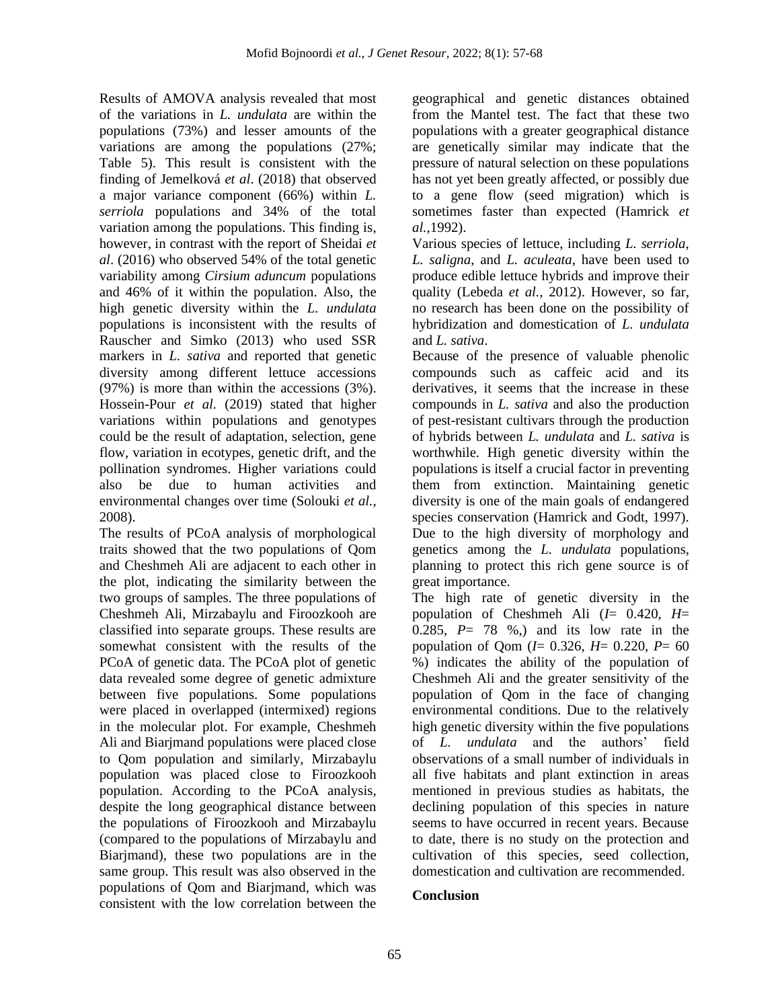Results of AMOVA analysis revealed that most of the variations in *L. undulata* are within the populations (73%) and lesser amounts of the variations are among the populations (27%; Table 5). This result is consistent with the finding of Jemelková *et al*. (2018) that observed a major variance component (66%) within *L. serriola* populations and 34% of the total variation among the populations. This finding is, however, in contrast with the report of Sheidai *et al*. (2016) who observed 54% of the total genetic variability among *Cirsium aduncum* populations and 46% of it within the population. Also, the high genetic diversity within the *L. undulata* populations is inconsistent with the results of Rauscher and Simko (2013) who used SSR markers in *L. sativa* and reported that genetic diversity among different lettuce accessions (97%) is more than within the accessions (3%). Hossein-Pour *et al.* (2019) stated that higher variations within populations and genotypes could be the result of adaptation, selection, gene flow, variation in ecotypes, genetic drift, and the pollination syndromes. Higher variations could also be due to human activities and environmental changes over time (Solouki *et al.,*  2008).

The results of PCoA analysis of morphological traits showed that the two populations of Qom and Cheshmeh Ali are adjacent to each other in the plot, indicating the similarity between the two groups of samples. The three populations of Cheshmeh Ali, Mirzabaylu and Firoozkooh are classified into separate groups. These results are somewhat consistent with the results of the PCoA of genetic data. The PCoA plot of genetic data revealed some degree of genetic admixture between five populations. Some populations were placed in overlapped (intermixed) regions in the molecular plot. For example, Cheshmeh Ali and Biarjmand populations were placed close to Qom population and similarly, Mirzabaylu population was placed close to Firoozkooh population. According to the PCoA analysis, despite the long geographical distance between the populations of Firoozkooh and Mirzabaylu (compared to the populations of Mirzabaylu and Biarjmand), these two populations are in the same group. This result was also observed in the populations of Qom and Biarjmand, which was consistent with the low correlation between the

geographical and genetic distances obtained from the Mantel test. The fact that these two populations with a greater geographical distance are genetically similar may indicate that the pressure of natural selection on these populations has not yet been greatly affected, or possibly due to a gene flow (seed migration) which is sometimes faster than expected (Hamrick *et al.,*1992).

Various species of lettuce, including *L. serriola*, *L. saligna*, and *L. aculeata*, have been used to produce edible lettuce hybrids and improve their quality (Lebeda *et al.,* 2012). However, so far, no research has been done on the possibility of hybridization and domestication of *L. undulata* and *L. sativa*.

Because of the presence of valuable phenolic compounds such as caffeic acid and its derivatives, it seems that the increase in these compounds in *L. sativa* and also the production of pest-resistant cultivars through the production of hybrids between *L. undulata* and *L. sativa* is worthwhile. High genetic diversity within the populations is itself a crucial factor in preventing them from extinction. Maintaining genetic diversity is one of the main goals of endangered species conservation (Hamrick and Godt, 1997). Due to the high diversity of morphology and genetics among the *L. undulata* populations, planning to protect this rich gene source is of great importance.

The high rate of genetic diversity in the population of Cheshmeh Ali (*I*= 0.420, *H*= 0.285, *P*= 78 %,) and its low rate in the population of Qom (*I*= 0.326, *H*= 0.220, *P*= 60 %) indicates the ability of the population of Cheshmeh Ali and the greater sensitivity of the population of Qom in the face of changing environmental conditions. Due to the relatively high genetic diversity within the five populations of *L. undulata* and the authors' field observations of a small number of individuals in all five habitats and plant extinction in areas mentioned in previous studies as habitats, the declining population of this species in nature seems to have occurred in recent years. Because to date, there is no study on the protection and cultivation of this species, seed collection, domestication and cultivation are recommended.

## **Conclusion**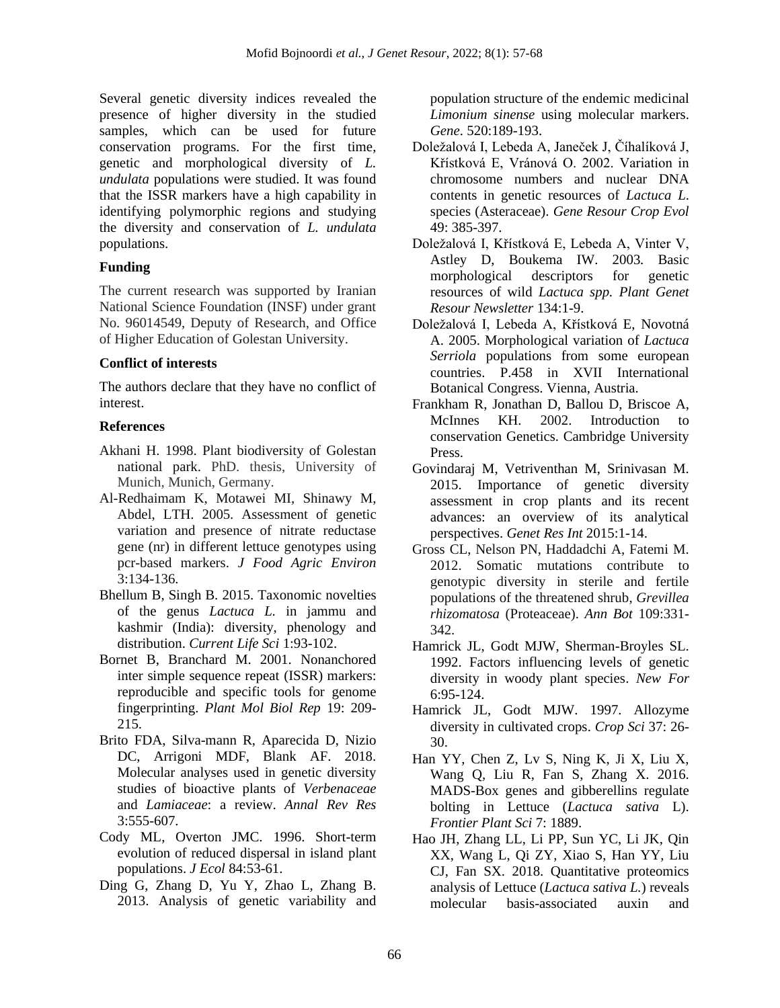Several genetic diversity indices revealed the presence of higher diversity in the studied samples, which can be used for future conservation programs. For the first time, genetic and morphological diversity of *L. undulata* populations were studied. It was found that the ISSR markers have a high capability in identifying polymorphic regions and studying the diversity and conservation of *L. undulata* populations.

### **Funding**

The current research was supported by Iranian National Science Foundation (INSF) under grant No. 96014549, Deputy of Research, and Office of Higher Education of Golestan University.

### **Conflict of interests**

The authors declare that they have no conflict of interest.

### **References**

- Akhani H. 1998. Plant biodiversity of Golestan national park. PhD. thesis, University of Munich, Munich, Germany.
- Al-Redhaimam K, Motawei MI, Shinawy M, Abdel, LTH. 2005. Assessment of genetic variation and presence of nitrate reductase gene (nr) in different lettuce genotypes using pcr-based markers. *J Food Agric Environ* 3:134-136.
- Bhellum B, Singh B. 2015. Taxonomic novelties of the genus *Lactuca L.* in jammu and kashmir (India): diversity, phenology and distribution. *Current Life Sci* 1:93-102.
- Bornet B, Branchard M. 2001. Nonanchored inter simple sequence repeat (ISSR) markers: reproducible and specific tools for genome fingerprinting. *Plant Mol Biol Rep* 19: 209- 215.
- Brito FDA, Silva-mann R, Aparecida D, Nizio DC, Arrigoni MDF, Blank AF. 2018. Molecular analyses used in genetic diversity studies of bioactive plants of *Verbenaceae* and *Lamiaceae*: a review. *Annal Rev Res* 3:555-607.
- Cody ML, Overton JMC. 1996. Short-term evolution of reduced dispersal in island plant populations. *J Ecol* 84:53-61.
- Ding G, Zhang D, Yu Y, Zhao L, Zhang B. 2013. Analysis of genetic variability and

population structure of the endemic medicinal *Limonium sinense* using molecular markers. *Gene*. 520:189-193.

- Doležalová I, Lebeda A, Janeček J, Číhalíková J, Křístková E, Vránová O. 2002. Variation in chromosome numbers and nuclear DNA contents in genetic resources of *Lactuca L*. species (Asteraceae). *Gene Resour Crop Evol* 49: 385-397.
- Doležalová I, Křístková E, Lebeda A, Vinter V, Astley D, Boukema IW. 2003. Basic morphological descriptors for genetic resources of wild *Lactuca spp. Plant Genet Resour Newsletter* 134:1-9.
- Doležalová I, Lebeda A, Křístková E, Novotná A. 2005. Morphological variation of *Lactuca Serriola* populations from some european countries. P.458 in XVII International Botanical Congress. Vienna, Austria.
- Frankham R, Jonathan D, Ballou D, Briscoe A, McInnes KH. 2002. Introduction to conservation Genetics. Cambridge University Press.
- Govindaraj M, Vetriventhan M, Srinivasan M. 2015. Importance of genetic diversity assessment in crop plants and its recent advances: an overview of its analytical perspectives. *Genet Res Int* 2015:1-14.
- Gross CL, Nelson PN, Haddadchi A, Fatemi M. 2012. Somatic mutations contribute to genotypic diversity in sterile and fertile populations of the threatened shrub, *Grevillea rhizomatosa* (Proteaceae). *Ann Bot* 109:331- 342.
- Hamrick JL, Godt MJW, Sherman-Broyles SL. 1992. Factors influencing levels of genetic diversity in woody plant species. *New For* 6:95-124.
- Hamrick JL, Godt MJW. 1997. Allozyme diversity in cultivated crops. *Crop Sci* 37: 26- 30.
- Han YY, Chen Z, Lv S, Ning K, Ji X, Liu X, Wang Q, Liu R, Fan S, Zhang X. 2016. MADS-Box genes and gibberellins regulate bolting in Lettuce (*Lactuca sativa* L). *Frontier Plant Sci* 7: 1889.
- Hao JH, Zhang LL, Li PP, Sun YC, Li JK, Qin XX, Wang L, Qi ZY, Xiao S, Han YY, Liu CJ, Fan SX. 2018. Quantitative proteomics analysis of Lettuce (*Lactuca sativa L.*) reveals molecular basis-associated auxin and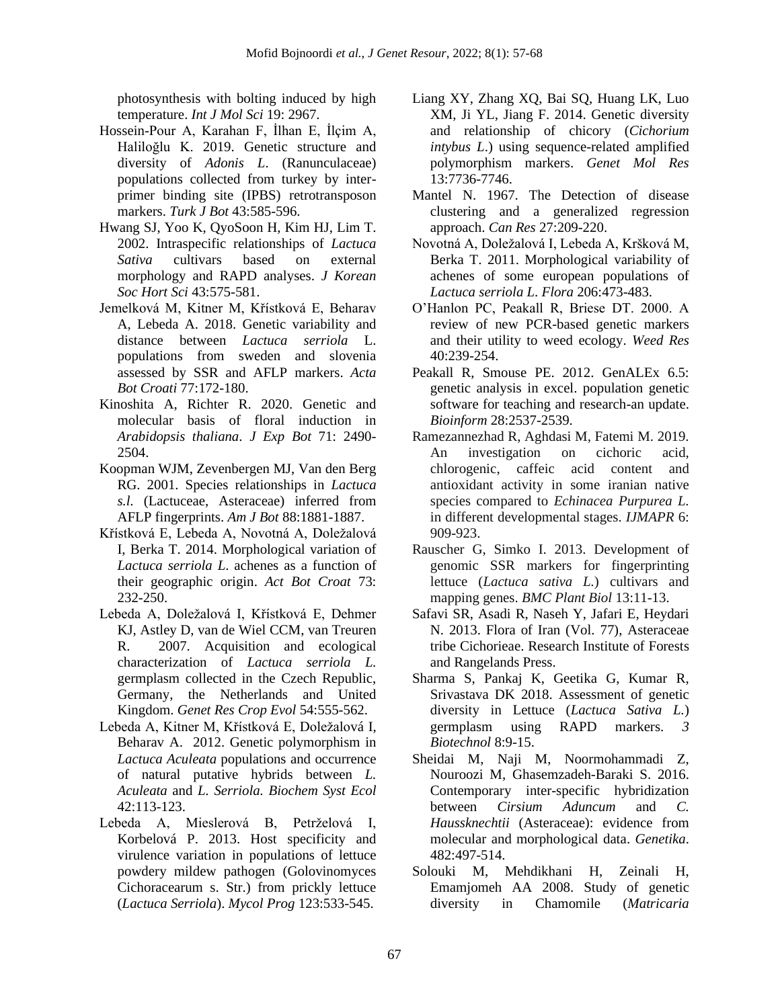photosynthesis with bolting induced by high temperature. *Int J Mol Sci* 19: 2967.

- Hossein-Pour A, Karahan F, İlhan E, İlçim A, Haliloğlu K. 2019. Genetic structure and diversity of *Adonis L*. (Ranunculaceae) populations collected from turkey by interprimer binding site (IPBS) retrotransposon markers. *Turk J Bot* 43:585-596.
- Hwang SJ, Yoo K, QyoSoon H, Kim HJ, Lim T. 2002. Intraspecific relationships of *Lactuca Sativa* cultivars based on external morphology and RAPD analyses. *J Korean Soc Hort Sci* 43:575-581.
- Jemelková M, Kitner M, Křístková E, Beharav A, Lebeda A. 2018. Genetic variability and distance between *Lactuca serriola* L. populations from sweden and slovenia assessed by SSR and AFLP markers. *Acta Bot Croati* 77:172-180.
- Kinoshita A, Richter R. 2020. Genetic and molecular basis of floral induction in *Arabidopsis thaliana*. *J Exp Bot* 71: 2490- 2504.
- Koopman WJM, Zevenbergen MJ, Van den Berg RG. 2001. Species relationships in *Lactuca s.l.* (Lactuceae, Asteraceae) inferred from AFLP fingerprints. *Am J Bot* 88:1881-1887.
- Křístková E, Lebeda A, Novotná A, Doležalová I, Berka T. 2014. Morphological variation of *Lactuca serriola L*. achenes as a function of their geographic origin. *Act Bot Croat* 73: 232-250.
- Lebeda A, Doležalová I, Křístková E, Dehmer KJ, Astley D, van de Wiel CCM, van Treuren R. 2007. Acquisition and ecological characterization of *Lactuca serriola L.* germplasm collected in the Czech Republic, Germany, the Netherlands and United Kingdom. *Genet Res Crop Evol* 54:555-562.
- Lebeda A, Kitner M, Křístková E, Doležalová I, Beharav A. 2012. Genetic polymorphism in *Lactuca Aculeata* populations and occurrence of natural putative hybrids between *L. Aculeata* and *L. Serriola. Biochem Syst Ecol*  42:113-123.
- Lebeda A, Mieslerová B, Petrželová I, Korbelová P. 2013. Host specificity and virulence variation in populations of lettuce powdery mildew pathogen (Golovinomyces Cichoracearum s. Str.) from prickly lettuce (*Lactuca Serriola*). *Mycol Prog* 123:533-545.
- Liang XY, Zhang XQ, Bai SQ, Huang LK, Luo XM, Ji YL, Jiang F. 2014. Genetic diversity and relationship of chicory (*Cichorium intybus L*.) using sequence-related amplified polymorphism markers. *Genet Mol Res* 13:7736-7746.
- Mantel N. 1967. The Detection of disease clustering and a generalized regression approach. *Can Res* 27:209-220.
- Novotná A, Doležalová I, Lebeda A, Kršková M, Berka T. 2011. Morphological variability of achenes of some european populations of *Lactuca serriola L*. *Flora* 206:473-483.
- O'Hanlon PC, Peakall R, Briese DT. 2000. A review of new PCR-based genetic markers and their utility to weed ecology. *Weed Res* 40:239-254.
- Peakall R, Smouse PE. 2012. GenALEx 6.5: genetic analysis in excel. population genetic software for teaching and research-an update. *Bioinform* 28:2537-2539.
- Ramezannezhad R, Aghdasi M, Fatemi M. 2019. An investigation on cichoric acid, chlorogenic, caffeic acid content and antioxidant activity in some iranian native species compared to *Echinacea Purpurea L.* in different developmental stages. *IJMAPR* 6: 909-923.
- Rauscher G, Simko I. 2013. Development of genomic SSR markers for fingerprinting lettuce (*Lactuca sativa L.*) cultivars and mapping genes. *BMC Plant Biol* 13:11-13.
- Safavi SR, Asadi R, Naseh Y, Jafari E, Heydari N. 2013. Flora of Iran (Vol. 77), Asteraceae tribe Cichorieae. Research Institute of Forests and Rangelands Press.
- Sharma S, Pankaj K, Geetika G, Kumar R, Srivastava DK 2018. Assessment of genetic diversity in Lettuce (*Lactuca Sativa L.*) germplasm using RAPD markers. *3 Biotechnol* 8:9-15.
- Sheidai M, Naji M, Noormohammadi Z, Nouroozi M, Ghasemzadeh-Baraki S. 2016. Contemporary inter-specific hybridization between *Cirsium Aduncum* and *C. Haussknechtii* (Asteraceae): evidence from molecular and morphological data. *Genetika*. 482:497-514.
- Solouki M, Mehdikhani H, Zeinali H, Emamjomeh AA 2008. Study of genetic diversity in Chamomile (*Matricaria*